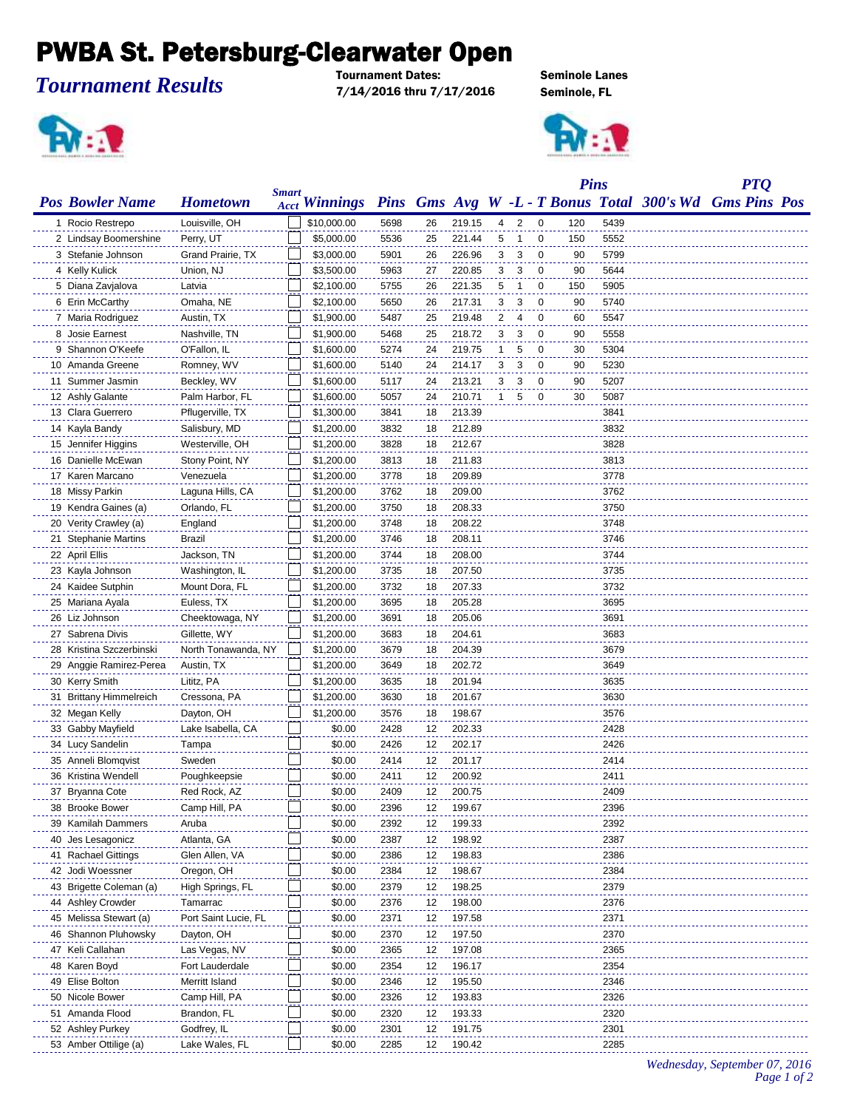## PWBA St. Petersburg-Clearwater Open

*Tournament Results*

Tournament Dates: Seminole Lanes 7/14/2016 thru 7/17/2016 Seminole, FL





|                          |                      |              |                      |      |    |        |                |                          |                | <b>Pins</b> |      | <b>PTQ</b>                                              |  |
|--------------------------|----------------------|--------------|----------------------|------|----|--------|----------------|--------------------------|----------------|-------------|------|---------------------------------------------------------|--|
| <b>Pos Bowler Name</b>   | <b>Hometown</b>      | <b>Smart</b> | <b>Acct Winnings</b> |      |    |        |                |                          |                |             |      | Pins Gms Avg W -L - T Bonus Total 300's Wd Gms Pins Pos |  |
| 1 Rocio Restrepo         | Louisville, OH       |              | \$10,000.00          | 5698 | 26 | 219.15 | 4              | $\overline{\phantom{a}}$ | 0              | 120         | 5439 |                                                         |  |
| 2 Lindsay Boomershine    | Perry, UT            |              | \$5,000.00           | 5536 | 25 | 221.44 | 5              | -1                       | 0              | 150         | 5552 |                                                         |  |
| 3 Stefanie Johnson       | Grand Prairie, TX    |              | \$3,000.00           | 5901 | 26 | 226.96 | 3              | 3                        | 0              | 90          | 5799 |                                                         |  |
| 4 Kelly Kulick           | Union, NJ            |              | \$3,500.00           | 5963 | 27 | 220.85 | 3              | 3                        | 0              | 90          | 5644 |                                                         |  |
| 5 Diana Zavjalova        | Latvia               |              | \$2,100.00           | 5755 | 26 | 221.35 | 5              | 1                        | $\mathbf 0$    | 150         | 5905 |                                                         |  |
| 6 Erin McCarthy          | Omaha, NE            |              | \$2,100.00           | 5650 | 26 | 217.31 | 3              | 3                        | $\mathbf 0$    | 90          | 5740 |                                                         |  |
| 7 Maria Rodriguez        | Austin, TX           |              | \$1,900.00           | 5487 | 25 | 219.48 | $\overline{2}$ | $\overline{4}$           | $\overline{0}$ | 60          | 5547 |                                                         |  |
| 8 Josie Earnest          | Nashville, TN        |              | \$1,900.00           | 5468 | 25 | 218.72 | 3              | 3                        | - 0            | 90          | 5558 |                                                         |  |
| 9 Shannon O'Keefe        | O'Fallon, IL         |              | \$1,600.00           | 5274 | 24 | 219.75 | 1              | 5                        | 0              | 30          | 5304 |                                                         |  |
| 10 Amanda Greene         | Romney, WV           |              | \$1,600.00           | 5140 | 24 | 214.17 | 3              | 3                        | 0              | 90          | 5230 |                                                         |  |
| 11 Summer Jasmin         | Beckley, WV          |              | \$1,600.00           | 5117 | 24 | 213.21 | 3              | 3                        | 0              | 90          | 5207 |                                                         |  |
| 12 Ashly Galante         | Palm Harbor, FL      |              | \$1,600.00           | 5057 | 24 | 210.71 | 1              | 5                        | 0              | 30          | 5087 |                                                         |  |
| 13 Clara Guerrero        | Pflugerville, TX     |              | \$1,300.00           | 3841 | 18 | 213.39 |                |                          |                |             | 3841 |                                                         |  |
| 14 Kayla Bandy           | Salisbury, MD        |              | \$1,200.00           | 3832 | 18 | 212.89 |                |                          |                |             | 3832 |                                                         |  |
| 15 Jennifer Higgins      | Westerville, OH      |              | \$1,200.00           | 3828 | 18 | 212.67 |                |                          |                |             | 3828 |                                                         |  |
| 16 Danielle McEwan       | Stony Point, NY      |              | \$1,200.00           | 3813 | 18 | 211.83 |                |                          |                |             | 3813 |                                                         |  |
| 17 Karen Marcano         | Venezuela            |              | \$1,200.00           | 3778 | 18 | 209.89 |                |                          |                |             | 3778 |                                                         |  |
| 18 Missy Parkin          | Laguna Hills, CA     |              | \$1,200.00           | 3762 | 18 | 209.00 |                |                          |                |             | 3762 |                                                         |  |
| 19 Kendra Gaines (a)     | Orlando, FL          |              | \$1,200.00           | 3750 | 18 | 208.33 |                |                          |                |             | 3750 |                                                         |  |
| 20 Verity Crawley (a)    | England              |              | \$1,200.00           | 3748 | 18 | 208.22 |                |                          |                |             | 3748 |                                                         |  |
| 21 Stephanie Martins     | Brazil               |              | \$1,200.00           | 3746 | 18 | 208.11 |                |                          |                |             | 3746 |                                                         |  |
| 22 April Ellis           | Jackson, TN          |              | \$1,200.00           | 3744 | 18 | 208.00 |                |                          |                |             | 3744 |                                                         |  |
| 23 Kayla Johnson         | Washington, IL       |              | \$1,200.00           | 3735 | 18 | 207.50 |                |                          |                |             | 3735 |                                                         |  |
| 24 Kaidee Sutphin        | Mount Dora, FL       |              | \$1,200.00           | 3732 | 18 | 207.33 |                |                          |                |             | 3732 |                                                         |  |
| 25 Mariana Ayala         | Euless, TX           |              | \$1,200.00           | 3695 | 18 | 205.28 |                |                          |                |             | 3695 |                                                         |  |
| 26 Liz Johnson           | Cheektowaga, NY      |              | \$1,200.00           | 3691 | 18 | 205.06 |                |                          |                |             | 3691 |                                                         |  |
| 27 Sabrena Divis         | Gillette, WY         |              | \$1,200.00           | 3683 | 18 | 204.61 |                |                          |                |             | 3683 |                                                         |  |
| 28 Kristina Szczerbinski | North Tonawanda, NY  |              | \$1,200.00           | 3679 | 18 | 204.39 |                |                          |                |             | 3679 |                                                         |  |
| 29 Anggie Ramirez-Perea  | Austin, TX           |              | \$1,200.00           | 3649 | 18 | 202.72 |                |                          |                |             | 3649 |                                                         |  |
| 30 Kerry Smith           | Lititz, PA           |              | \$1,200.00           | 3635 | 18 | 201.94 |                |                          |                |             | 3635 |                                                         |  |
| 31 Brittany Himmelreich  | Cressona, PA         |              | \$1,200.00           | 3630 | 18 | 201.67 |                |                          |                |             | 3630 |                                                         |  |
| 32 Megan Kelly           | Dayton, OH           |              | \$1,200.00           | 3576 | 18 | 198.67 |                |                          |                |             | 3576 |                                                         |  |
| 33 Gabby Mayfield        | Lake Isabella, CA    |              | \$0.00               | 2428 | 12 | 202.33 |                |                          |                |             | 2428 |                                                         |  |
| 34 Lucy Sandelin         | Tampa                |              | \$0.00               | 2426 | 12 | 202.17 |                |                          |                |             | 2426 |                                                         |  |
| 35 Anneli Blomqvist      | Sweden               |              | \$0.00               | 2414 | 12 | 201.17 |                |                          |                |             | 2414 |                                                         |  |
| 36 Kristina Wendell      | Poughkeepsie         |              | \$0.00               | 2411 | 12 | 200.92 |                |                          |                |             | 2411 |                                                         |  |
| 37 Bryanna Cote          | Red Rock, AZ         |              | \$0.00               | 2409 | 12 | 200.75 |                |                          |                |             | 2409 |                                                         |  |
| 38 Brooke Bower          | Camp Hill, PA        |              | \$0.00               | 2396 | 12 | 199.67 |                |                          |                |             | 2396 |                                                         |  |
| 39 Kamilah Dammers       | Aruba                |              | \$0.00               | 2392 | 12 | 199.33 |                |                          |                |             | 2392 |                                                         |  |
| 40 Jes Lesagonicz        | Atlanta, GA          |              | \$0.00               | 2387 | 12 | 198.92 |                |                          |                |             | 2387 |                                                         |  |
| 41 Rachael Gittings      | Glen Allen, VA       |              | \$0.00               | 2386 | 12 | 198.83 |                |                          |                |             | 2386 |                                                         |  |
| 42 Jodi Woessner         | Oregon, OH           |              | \$0.00               | 2384 | 12 | 198.67 |                |                          |                |             | 2384 |                                                         |  |
| 43 Brigette Coleman (a)  | High Springs, FL     |              | \$0.00               | 2379 | 12 | 198.25 |                |                          |                |             | 2379 |                                                         |  |
| 44 Ashley Crowder        | Tamarrac             |              | \$0.00               | 2376 | 12 | 198.00 |                |                          |                |             | 2376 |                                                         |  |
| 45 Melissa Stewart (a)   | Port Saint Lucie, FL |              | \$0.00               | 2371 | 12 | 197.58 |                |                          |                |             | 2371 |                                                         |  |
| 46 Shannon Pluhowsky     | Dayton, OH           |              | \$0.00               | 2370 | 12 | 197.50 |                |                          |                |             | 2370 |                                                         |  |
| 47 Keli Callahan         | Las Vegas, NV        |              | \$0.00               | 2365 | 12 | 197.08 |                |                          |                |             | 2365 |                                                         |  |
| 48 Karen Boyd            | Fort Lauderdale      |              | \$0.00               | 2354 | 12 | 196.17 |                |                          |                |             | 2354 |                                                         |  |
| 49 Elise Bolton          | Merritt Island       |              | \$0.00               | 2346 | 12 | 195.50 |                |                          |                |             | 2346 |                                                         |  |
| 50 Nicole Bower          | Camp Hill, PA        |              | \$0.00               | 2326 | 12 | 193.83 |                |                          |                |             | 2326 |                                                         |  |
| 51 Amanda Flood          | Brandon, FL          |              | \$0.00               | 2320 | 12 | 193.33 |                |                          |                |             | 2320 |                                                         |  |
| 52 Ashley Purkey         | Godfrey, IL          |              | \$0.00               | 2301 | 12 | 191.75 |                |                          |                |             | 2301 |                                                         |  |
| 53 Amber Ottilige (a)    | Lake Wales, FL       |              | \$0.00               | 2285 | 12 | 190.42 |                |                          |                |             | 2285 |                                                         |  |